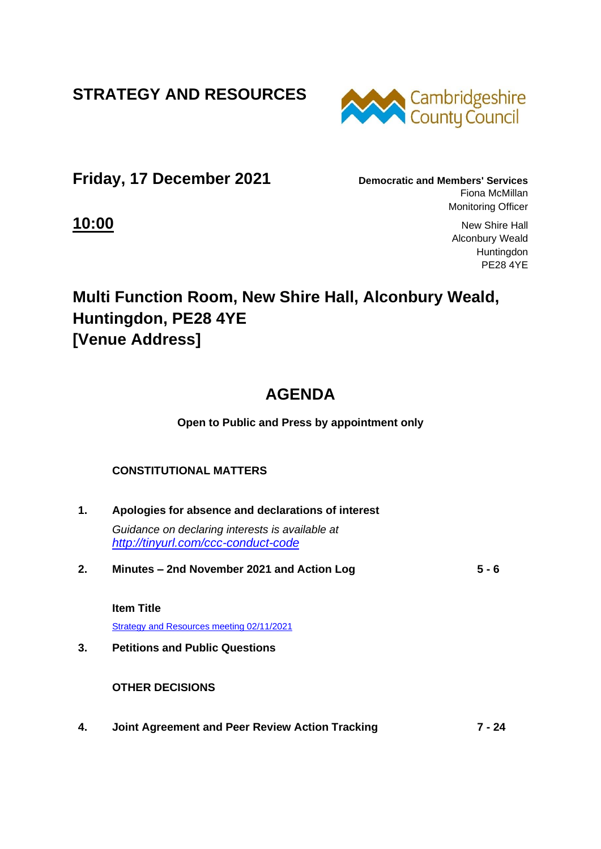**STRATEGY AND RESOURCES**



**Friday, 17 December 2021 Democratic and Members' Services**

Fiona McMillan Monitoring Officer

**10:00** New Shire Hall Alconbury Weald **Huntingdon** PE28 4YE

# **Multi Function Room, New Shire Hall, Alconbury Weald, Huntingdon, PE28 4YE [Venue Address]**

# **AGENDA**

**Open to Public and Press by appointment only**

### **CONSTITUTIONAL MATTERS**

- **1. Apologies for absence and declarations of interest** *Guidance on declaring interests is available at <http://tinyurl.com/ccc-conduct-code>* **2. Minutes – 2nd November 2021 and Action Log 5 - 6 Item Title** [Strategy and Resources meeting 02/11/2021](http://cambridgeshire.cmis.uk.com/ccc_live/Meetings/tabid/70/ctl/ViewMeetingPublic/mid/397/Meeting/1829/Committee/65/Default.aspx) **3. Petitions and Public Questions OTHER DECISIONS**
- **4. Joint Agreement and Peer Review Action Tracking 7 - 24**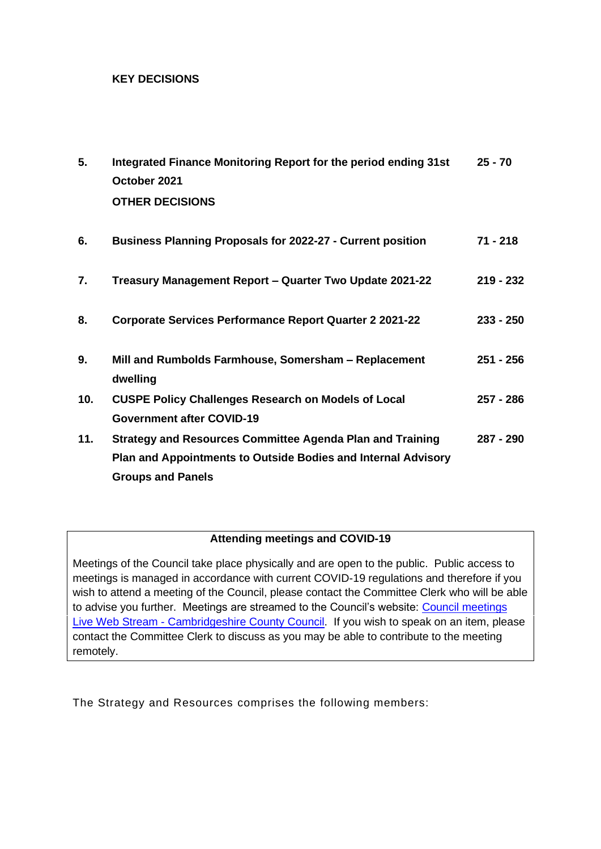#### **KEY DECISIONS**

| 5.  | Integrated Finance Monitoring Report for the period ending 31st   | $25 - 70$   |
|-----|-------------------------------------------------------------------|-------------|
|     | October 2021                                                      |             |
|     | <b>OTHER DECISIONS</b>                                            |             |
|     |                                                                   |             |
| 6.  | <b>Business Planning Proposals for 2022-27 - Current position</b> | 71 - 218    |
|     |                                                                   |             |
| 7.  | Treasury Management Report - Quarter Two Update 2021-22           | $219 - 232$ |
|     |                                                                   |             |
| 8.  | <b>Corporate Services Performance Report Quarter 2 2021-22</b>    | $233 - 250$ |
| 9.  | Mill and Rumbolds Farmhouse, Somersham - Replacement              | 251 - 256   |
|     | dwelling                                                          |             |
| 10. | <b>CUSPE Policy Challenges Research on Models of Local</b>        | 257 - 286   |
|     | <b>Government after COVID-19</b>                                  |             |
| 11. | <b>Strategy and Resources Committee Agenda Plan and Training</b>  | 287 - 290   |
|     | Plan and Appointments to Outside Bodies and Internal Advisory     |             |
|     | <b>Groups and Panels</b>                                          |             |

### **Attending meetings and COVID-19**

Meetings of the Council take place physically and are open to the public. Public access to meetings is managed in accordance with current COVID-19 regulations and therefore if you wish to attend a meeting of the Council, please contact the Committee Clerk who will be able to advise you further. Meetings are streamed to the Council's website: [Council meetings](https://www.cambridgeshire.gov.uk/council/meetings-and-decisions/council-meetings-live-web-stream)  Live Web Stream - [Cambridgeshire County Council.](https://www.cambridgeshire.gov.uk/council/meetings-and-decisions/council-meetings-live-web-stream) If you wish to speak on an item, please contact the Committee Clerk to discuss as you may be able to contribute to the meeting remotely.

The Strategy and Resources comprises the following members: